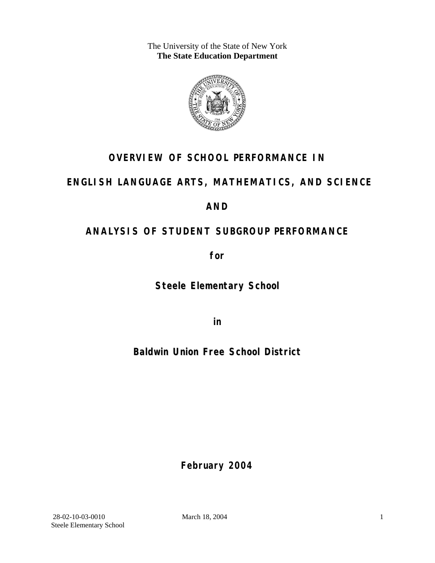The University of the State of New York **The State Education Department** 



## **OVERVIEW OF SCHOOL PERFORMANCE IN**

### **ENGLISH LANGUAGE ARTS, MATHEMATICS, AND SCIENCE**

### **AND**

# **ANALYSIS OF STUDENT SUBGROUP PERFORMANCE**

**for** 

**Steele Elementary School**

**in** 

**Baldwin Union Free School District**

**February 2004**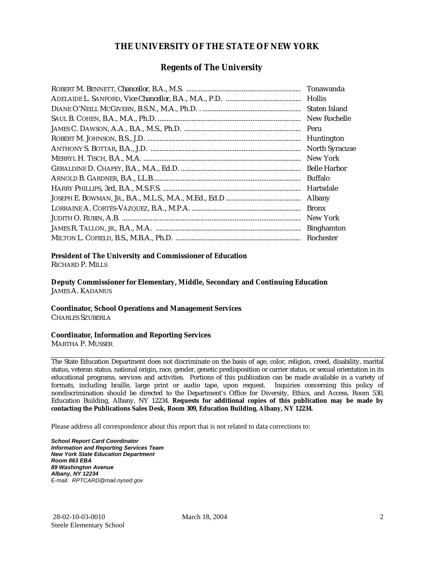#### **THE UNIVERSITY OF THE STATE OF NEW YORK**

#### **Regents of The University**

| Tonawanda             |
|-----------------------|
| <b>Hollis</b>         |
| Staten Island         |
| New Rochelle          |
| Peru                  |
| Huntington            |
| <b>North Syracuse</b> |
| New York              |
| <b>Belle Harbor</b>   |
| Buffalo               |
| Hartsdale             |
| Albany                |
| <b>Bronx</b>          |
| New York              |
| <b>Binghamton</b>     |
| Rochester             |

#### **President of The University and Commissioner of Education**

RICHARD P. MILLS

**Deputy Commissioner for Elementary, Middle, Secondary and Continuing Education**  JAMES A. KADAMUS

#### **Coordinator, School Operations and Management Services**

CHARLES SZUBERLA

#### **Coordinator, Information and Reporting Services**

MARTHA P. MUSSER

The State Education Department does not discriminate on the basis of age, color, religion, creed, disability, marital status, veteran status, national origin, race, gender, genetic predisposition or carrier status, or sexual orientation in its educational programs, services and activities. Portions of this publication can be made available in a variety of formats, including braille, large print or audio tape, upon request. Inquiries concerning this policy of nondiscrimination should be directed to the Department's Office for Diversity, Ethics, and Access, Room 530, Education Building, Albany, NY 12234. **Requests for additional copies of this publication may be made by contacting the Publications Sales Desk, Room 309, Education Building, Albany, NY 12234.** 

Please address all correspondence about this report that is not related to data corrections to:

*School Report Card Coordinator Information and Reporting Services Team New York State Education Department Room 863 EBA 89 Washington Avenue Albany, NY 12234*  E-mail: *RPTCARD@mail.nysed.gov*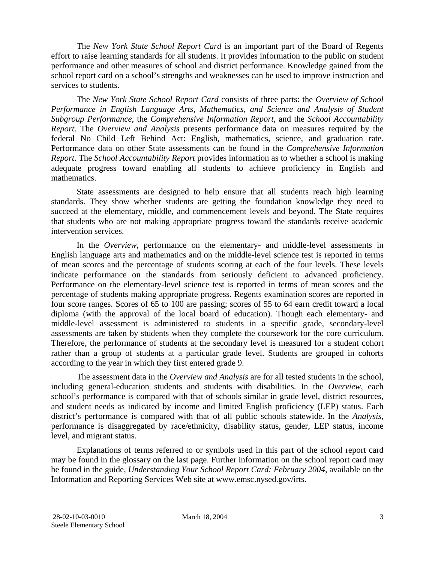The *New York State School Report Card* is an important part of the Board of Regents effort to raise learning standards for all students. It provides information to the public on student performance and other measures of school and district performance. Knowledge gained from the school report card on a school's strengths and weaknesses can be used to improve instruction and services to students.

The *New York State School Report Card* consists of three parts: the *Overview of School Performance in English Language Arts, Mathematics, and Science and Analysis of Student Subgroup Performance,* the *Comprehensive Information Report,* and the *School Accountability Report*. The *Overview and Analysis* presents performance data on measures required by the federal No Child Left Behind Act: English, mathematics, science, and graduation rate. Performance data on other State assessments can be found in the *Comprehensive Information Report*. The *School Accountability Report* provides information as to whether a school is making adequate progress toward enabling all students to achieve proficiency in English and mathematics.

State assessments are designed to help ensure that all students reach high learning standards. They show whether students are getting the foundation knowledge they need to succeed at the elementary, middle, and commencement levels and beyond. The State requires that students who are not making appropriate progress toward the standards receive academic intervention services.

In the *Overview*, performance on the elementary- and middle-level assessments in English language arts and mathematics and on the middle-level science test is reported in terms of mean scores and the percentage of students scoring at each of the four levels. These levels indicate performance on the standards from seriously deficient to advanced proficiency. Performance on the elementary-level science test is reported in terms of mean scores and the percentage of students making appropriate progress. Regents examination scores are reported in four score ranges. Scores of 65 to 100 are passing; scores of 55 to 64 earn credit toward a local diploma (with the approval of the local board of education). Though each elementary- and middle-level assessment is administered to students in a specific grade, secondary-level assessments are taken by students when they complete the coursework for the core curriculum. Therefore, the performance of students at the secondary level is measured for a student cohort rather than a group of students at a particular grade level. Students are grouped in cohorts according to the year in which they first entered grade 9.

The assessment data in the *Overview and Analysis* are for all tested students in the school, including general-education students and students with disabilities. In the *Overview*, each school's performance is compared with that of schools similar in grade level, district resources, and student needs as indicated by income and limited English proficiency (LEP) status. Each district's performance is compared with that of all public schools statewide. In the *Analysis*, performance is disaggregated by race/ethnicity, disability status, gender, LEP status, income level, and migrant status.

Explanations of terms referred to or symbols used in this part of the school report card may be found in the glossary on the last page. Further information on the school report card may be found in the guide, *Understanding Your School Report Card: February 2004*, available on the Information and Reporting Services Web site at www.emsc.nysed.gov/irts.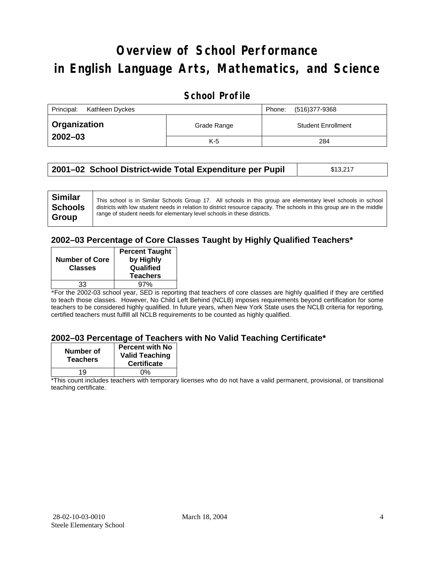# **Overview of School Performance in English Language Arts, Mathematics, and Science**

### **School Profile**

| Principal:<br>Kathleen Dyckes |             | (516)377-9368<br>Phone:   |
|-------------------------------|-------------|---------------------------|
| ∣ Organization                | Grade Range | <b>Student Enrollment</b> |
| $2002 - 03$                   | $K-5$       | 284                       |

|  | 2001–02 School District-wide Total Expenditure per Pupil | \$13,217 |
|--|----------------------------------------------------------|----------|
|--|----------------------------------------------------------|----------|

### **2002–03 Percentage of Core Classes Taught by Highly Qualified Teachers\***

| Qualified<br><b>Classes</b><br><b>Teachers</b> |  |
|------------------------------------------------|--|
|                                                |  |
| 33<br>97%                                      |  |

\*For the 2002-03 school year, SED is reporting that teachers of core classes are highly qualified if they are certified to teach those classes. However, No Child Left Behind (NCLB) imposes requirements beyond certification for some teachers to be considered highly qualified. In future years, when New York State uses the NCLB criteria for reporting, certified teachers must fulfill all NCLB requirements to be counted as highly qualified.

#### **2002–03 Percentage of Teachers with No Valid Teaching Certificate\***

| Number of<br><b>Teachers</b> | <b>Percent with No</b><br><b>Valid Teaching</b><br><b>Certificate</b> |
|------------------------------|-----------------------------------------------------------------------|
| 19                           | ሰ%                                                                    |

\*This count includes teachers with temporary licenses who do not have a valid permanent, provisional, or transitional teaching certificate.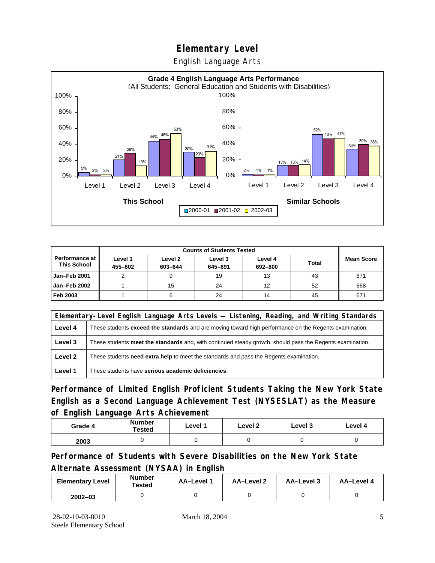English Language Arts



|                                        |                    | <b>Counts of Students Tested</b> |                    |                    |              |                   |  |
|----------------------------------------|--------------------|----------------------------------|--------------------|--------------------|--------------|-------------------|--|
| Performance at I<br><b>This School</b> | Level 1<br>455-602 | Level 2<br>603-644               | Level 3<br>645-691 | Level 4<br>692-800 | <b>Total</b> | <b>Mean Score</b> |  |
| Jan-Feb 2001                           |                    |                                  | 19                 | 13                 | 43           | 671               |  |
| Jan-Feb 2002                           |                    | 15                               | 24                 | 12                 | 52           | 668               |  |
| Feb 2003                               |                    |                                  | 24                 | 14                 | 45           | 671               |  |

|         | Elementary-Level English Language Arts Levels — Listening, Reading, and Writing Standards                 |  |  |  |  |
|---------|-----------------------------------------------------------------------------------------------------------|--|--|--|--|
| Level 4 | These students exceed the standards and are moving toward high performance on the Regents examination.    |  |  |  |  |
| Level 3 | These students meet the standards and, with continued steady growth, should pass the Regents examination. |  |  |  |  |
| Level 2 | These students <b>need extra help</b> to meet the standards and pass the Regents examination.             |  |  |  |  |
| Level 1 | These students have serious academic deficiencies.                                                        |  |  |  |  |

**Performance of Limited English Proficient Students Taking the New York State English as a Second Language Achievement Test (NYSESLAT) as the Measure of English Language Arts Achievement**

| Grade 4 | <b>Number</b><br><b>Tested</b> | Level 1 | Level 2 | Level 3 | Level 4 |
|---------|--------------------------------|---------|---------|---------|---------|
| 2003    |                                |         |         |         |         |

**Performance of Students with Severe Disabilities on the New York State Alternate Assessment (NYSAA) in English** 

| <b>Elementary Level</b> | <b>Number</b><br>Tested | AA-Level 1 | AA-Level 2 | AA-Level 3 | AA-Level 4 |
|-------------------------|-------------------------|------------|------------|------------|------------|
| $2002 - 03$             |                         |            |            |            |            |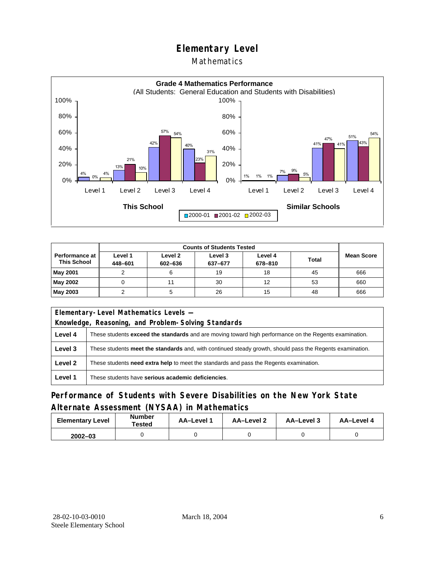### Mathematics



|                                        |                    | <b>Counts of Students Tested</b> |                    |                    |              |                   |  |
|----------------------------------------|--------------------|----------------------------------|--------------------|--------------------|--------------|-------------------|--|
| Performance at I<br><b>This School</b> | Level 1<br>448-601 | Level 2<br>602-636               | Level 3<br>637-677 | Level 4<br>678-810 | <b>Total</b> | <b>Mean Score</b> |  |
| <b>May 2001</b>                        |                    |                                  | 19                 | 18                 | 45           | 666               |  |
| May 2002                               |                    |                                  | 30                 | 12                 | 53           | 660               |  |
| May 2003                               |                    |                                  | 26                 | 15                 | 48           | 666               |  |

|         | Elementary-Level Mathematics Levels -                                                                         |  |  |  |  |
|---------|---------------------------------------------------------------------------------------------------------------|--|--|--|--|
|         | Knowledge, Reasoning, and Problem-Solving Standards                                                           |  |  |  |  |
| Level 4 | These students <b>exceed the standards</b> and are moving toward high performance on the Regents examination. |  |  |  |  |
| Level 3 | These students meet the standards and, with continued steady growth, should pass the Regents examination.     |  |  |  |  |
| Level 2 | These students need extra help to meet the standards and pass the Regents examination.                        |  |  |  |  |
| Level 1 | These students have serious academic deficiencies.                                                            |  |  |  |  |

### **Performance of Students with Severe Disabilities on the New York State Alternate Assessment (NYSAA) in Mathematics**

| <b>Elementary Level</b> | <b>Number</b><br>Tested | <b>AA-Level 1</b> | AA-Level 2 | AA-Level 3 | AA-Level 4 |  |
|-------------------------|-------------------------|-------------------|------------|------------|------------|--|
| $2002 - 03$             |                         |                   |            |            |            |  |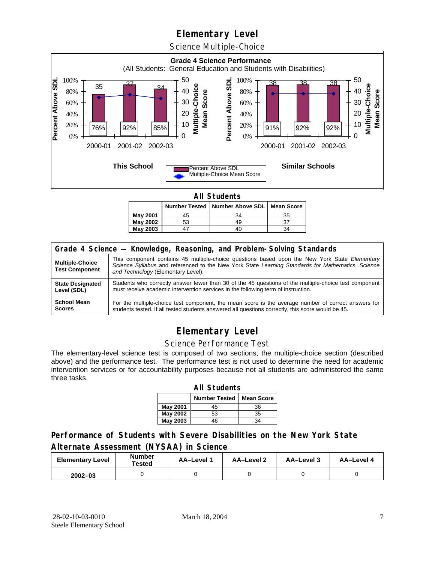Science Multiple-Choice



**All Students** 

|          |    | Number Tested   Number Above SDL   Mean Score |    |
|----------|----|-----------------------------------------------|----|
| May 2001 | 45 | 34                                            | 35 |
| May 2002 | 53 | 49                                            | 37 |
| May 2003 |    |                                               | 34 |

| Grade 4 Science - Knowledge, Reasoning, and Problem-Solving Standards |                                                                                                                                                                                                                                          |  |  |  |  |  |
|-----------------------------------------------------------------------|------------------------------------------------------------------------------------------------------------------------------------------------------------------------------------------------------------------------------------------|--|--|--|--|--|
| <b>Multiple-Choice</b><br><b>Test Component</b>                       | This component contains 45 multiple-choice questions based upon the New York State Elementary<br>Science Syllabus and referenced to the New York State Learning Standards for Mathematics, Science<br>and Technology (Elementary Level). |  |  |  |  |  |
| <b>State Designated</b>                                               | Students who correctly answer fewer than 30 of the 45 questions of the multiple-choice test component                                                                                                                                    |  |  |  |  |  |
| Level (SDL)                                                           | must receive academic intervention services in the following term of instruction.                                                                                                                                                        |  |  |  |  |  |
| <b>School Mean</b>                                                    | For the multiple-choice test component, the mean score is the average number of correct answers for                                                                                                                                      |  |  |  |  |  |
| <b>Scores</b>                                                         | students tested. If all tested students answered all questions correctly, this score would be 45.                                                                                                                                        |  |  |  |  |  |

## **Elementary Level**

#### Science Performance Test

The elementary-level science test is composed of two sections, the multiple-choice section (described above) and the performance test. The performance test is not used to determine the need for academic intervention services or for accountability purposes because not all students are administered the same three tasks.

| <b>All Students</b>                       |    |    |  |  |  |  |  |  |  |
|-------------------------------------------|----|----|--|--|--|--|--|--|--|
| <b>Number Tested</b><br><b>Mean Score</b> |    |    |  |  |  |  |  |  |  |
| May 2001                                  | 45 | 36 |  |  |  |  |  |  |  |
| May 2002                                  | 53 | 35 |  |  |  |  |  |  |  |
| <b>May 2003</b><br>34<br>46               |    |    |  |  |  |  |  |  |  |

### **Performance of Students with Severe Disabilities on the New York State Alternate Assessment (NYSAA) in Science**

| <b>Elementary Level</b> | <b>Number</b><br>Tested | AA-Level 1 | <b>AA-Level 2</b> | AA-Level 3 | AA-Level 4 |  |
|-------------------------|-------------------------|------------|-------------------|------------|------------|--|
| $2002 - 03$             |                         |            |                   |            |            |  |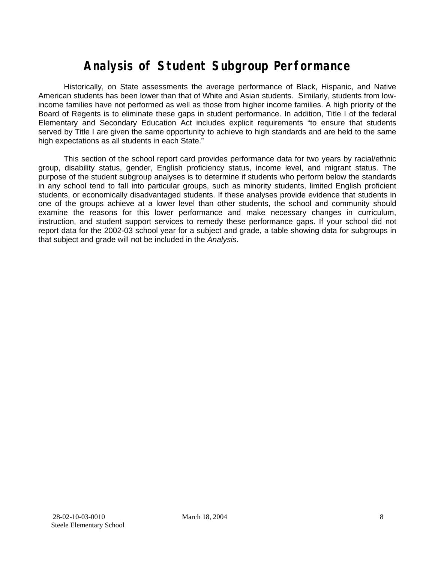# **Analysis of Student Subgroup Performance**

Historically, on State assessments the average performance of Black, Hispanic, and Native American students has been lower than that of White and Asian students. Similarly, students from lowincome families have not performed as well as those from higher income families. A high priority of the Board of Regents is to eliminate these gaps in student performance. In addition, Title I of the federal Elementary and Secondary Education Act includes explicit requirements "to ensure that students served by Title I are given the same opportunity to achieve to high standards and are held to the same high expectations as all students in each State."

This section of the school report card provides performance data for two years by racial/ethnic group, disability status, gender, English proficiency status, income level, and migrant status. The purpose of the student subgroup analyses is to determine if students who perform below the standards in any school tend to fall into particular groups, such as minority students, limited English proficient students, or economically disadvantaged students. If these analyses provide evidence that students in one of the groups achieve at a lower level than other students, the school and community should examine the reasons for this lower performance and make necessary changes in curriculum, instruction, and student support services to remedy these performance gaps. If your school did not report data for the 2002-03 school year for a subject and grade, a table showing data for subgroups in that subject and grade will not be included in the *Analysis*.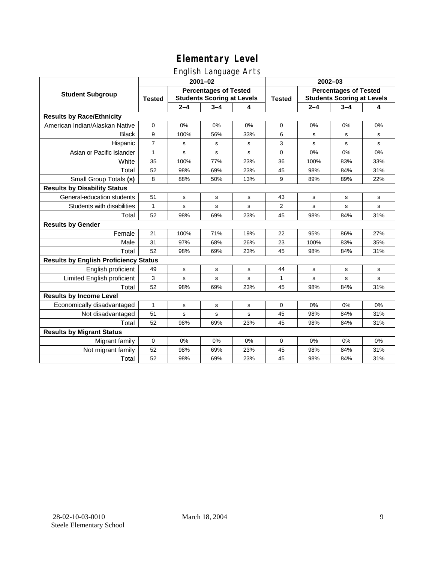English Language Arts

|                                              | $2001 - 02$                                                                        |             |              |               | $2002 - 03$                                                       |         |         |     |
|----------------------------------------------|------------------------------------------------------------------------------------|-------------|--------------|---------------|-------------------------------------------------------------------|---------|---------|-----|
| <b>Student Subgroup</b>                      | <b>Percentages of Tested</b><br><b>Students Scoring at Levels</b><br><b>Tested</b> |             |              | <b>Tested</b> | <b>Percentages of Tested</b><br><b>Students Scoring at Levels</b> |         |         |     |
|                                              |                                                                                    | $2 - 4$     | $3 - 4$      | 4             |                                                                   | $2 - 4$ | $3 - 4$ | 4   |
| <b>Results by Race/Ethnicity</b>             |                                                                                    |             |              |               |                                                                   |         |         |     |
| American Indian/Alaskan Native               | 0                                                                                  | 0%          | 0%           | 0%            | $\Omega$                                                          | 0%      | $0\%$   | 0%  |
| <b>Black</b>                                 | 9                                                                                  | 100%        | 56%          | 33%           | 6                                                                 | s       | s       | s   |
| Hispanic                                     | $\overline{7}$                                                                     | s           | s            | s             | 3                                                                 | s       | s       | s   |
| Asian or Pacific Islander                    | 1                                                                                  | s           | $\mathsf{s}$ | s             | 0                                                                 | 0%      | 0%      | 0%  |
| White                                        | 35                                                                                 | 100%        | 77%          | 23%           | 36                                                                | 100%    | 83%     | 33% |
| Total                                        | 52                                                                                 | 98%         | 69%          | 23%           | 45                                                                | 98%     | 84%     | 31% |
| Small Group Totals (s)                       | 8                                                                                  | 88%         | 50%          | 13%           | 9                                                                 | 89%     | 89%     | 22% |
| <b>Results by Disability Status</b>          |                                                                                    |             |              |               |                                                                   |         |         |     |
| General-education students                   | 51                                                                                 | s           | s            | s             | 43                                                                | s       | s       | s   |
| Students with disabilities                   | $\mathbf{1}$                                                                       | s           | s            | s             | 2                                                                 | s       | s       | s   |
| Total                                        | 52                                                                                 | 98%         | 69%          | 23%           | 45                                                                | 98%     | 84%     | 31% |
| <b>Results by Gender</b>                     |                                                                                    |             |              |               |                                                                   |         |         |     |
| Female                                       | 21                                                                                 | 100%        | 71%          | 19%           | 22                                                                | 95%     | 86%     | 27% |
| Male                                         | 31                                                                                 | 97%         | 68%          | 26%           | 23                                                                | 100%    | 83%     | 35% |
| Total                                        | 52                                                                                 | 98%         | 69%          | 23%           | 45                                                                | 98%     | 84%     | 31% |
| <b>Results by English Proficiency Status</b> |                                                                                    |             |              |               |                                                                   |         |         |     |
| English proficient                           | 49                                                                                 | $\mathbf s$ | s            | s             | 44                                                                | s       | s       | s   |
| Limited English proficient                   | 3                                                                                  | s           | s            | s             | 1                                                                 | s       | s       | s   |
| Total                                        | 52                                                                                 | 98%         | 69%          | 23%           | 45                                                                | 98%     | 84%     | 31% |
| <b>Results by Income Level</b>               |                                                                                    |             |              |               |                                                                   |         |         |     |
| Economically disadvantaged                   | $\mathbf{1}$                                                                       | s           | s            | s             | 0                                                                 | 0%      | 0%      | 0%  |
| Not disadvantaged                            | 51                                                                                 | s           | s            | s             | 45                                                                | 98%     | 84%     | 31% |
| Total                                        | 52                                                                                 | 98%         | 69%          | 23%           | 45                                                                | 98%     | 84%     | 31% |
| <b>Results by Migrant Status</b>             |                                                                                    |             |              |               |                                                                   |         |         |     |
| Migrant family                               | $\mathbf 0$                                                                        | 0%          | 0%           | 0%            | $\mathbf 0$                                                       | 0%      | $0\%$   | 0%  |
| Not migrant family                           | 52                                                                                 | 98%         | 69%          | 23%           | 45                                                                | 98%     | 84%     | 31% |
| Total                                        | 52                                                                                 | 98%         | 69%          | 23%           | 45                                                                | 98%     | 84%     | 31% |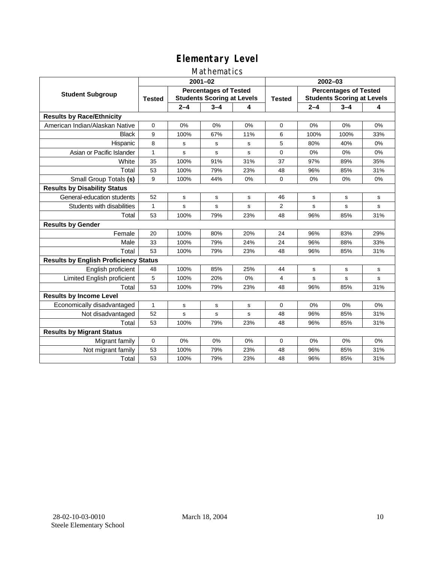### Mathematics

|                                              | $2001 - 02$                                                                        |         |             |               | $2002 - 03$                                                       |         |         |     |
|----------------------------------------------|------------------------------------------------------------------------------------|---------|-------------|---------------|-------------------------------------------------------------------|---------|---------|-----|
| <b>Student Subgroup</b>                      | <b>Percentages of Tested</b><br><b>Students Scoring at Levels</b><br><b>Tested</b> |         |             | <b>Tested</b> | <b>Percentages of Tested</b><br><b>Students Scoring at Levels</b> |         |         |     |
|                                              |                                                                                    | $2 - 4$ | $3 - 4$     | 4             |                                                                   | $2 - 4$ | $3 - 4$ | 4   |
| <b>Results by Race/Ethnicity</b>             |                                                                                    |         |             |               |                                                                   |         |         |     |
| American Indian/Alaskan Native               | $\mathbf 0$                                                                        | 0%      | 0%          | 0%            | $\mathbf 0$                                                       | 0%      | 0%      | 0%  |
| <b>Black</b>                                 | 9                                                                                  | 100%    | 67%         | 11%           | 6                                                                 | 100%    | 100%    | 33% |
| Hispanic                                     | 8                                                                                  | s       | s           | s             | 5                                                                 | 80%     | 40%     | 0%  |
| Asian or Pacific Islander                    | 1                                                                                  | s       | $\mathbf s$ | s             | $\mathbf 0$                                                       | 0%      | $0\%$   | 0%  |
| White                                        | 35                                                                                 | 100%    | 91%         | 31%           | 37                                                                | 97%     | 89%     | 35% |
| Total                                        | 53                                                                                 | 100%    | 79%         | 23%           | 48                                                                | 96%     | 85%     | 31% |
| Small Group Totals (s)                       | 9                                                                                  | 100%    | 44%         | 0%            | $\Omega$                                                          | 0%      | 0%      | 0%  |
| <b>Results by Disability Status</b>          |                                                                                    |         |             |               |                                                                   |         |         |     |
| General-education students                   | 52                                                                                 | s       | s           | s             | 46                                                                | s       | s       | s   |
| Students with disabilities                   | $\mathbf{1}$                                                                       | s       | $\mathbf s$ | s             | 2                                                                 | s       | s       | s   |
| Total                                        | 53                                                                                 | 100%    | 79%         | 23%           | 48                                                                | 96%     | 85%     | 31% |
| <b>Results by Gender</b>                     |                                                                                    |         |             |               |                                                                   |         |         |     |
| Female                                       | 20                                                                                 | 100%    | 80%         | 20%           | 24                                                                | 96%     | 83%     | 29% |
| Male                                         | 33                                                                                 | 100%    | 79%         | 24%           | 24                                                                | 96%     | 88%     | 33% |
| Total                                        | 53                                                                                 | 100%    | 79%         | 23%           | 48                                                                | 96%     | 85%     | 31% |
| <b>Results by English Proficiency Status</b> |                                                                                    |         |             |               |                                                                   |         |         |     |
| English proficient                           | 48                                                                                 | 100%    | 85%         | 25%           | 44                                                                | s       | s       | s   |
| Limited English proficient                   | 5                                                                                  | 100%    | 20%         | 0%            | 4                                                                 | s       | s       | s   |
| Total                                        | 53                                                                                 | 100%    | 79%         | 23%           | 48                                                                | 96%     | 85%     | 31% |
| <b>Results by Income Level</b>               |                                                                                    |         |             |               |                                                                   |         |         |     |
| Economically disadvantaged                   | 1                                                                                  | s       | $\mathbf s$ | s             | 0                                                                 | 0%      | 0%      | 0%  |
| Not disadvantaged                            | 52                                                                                 | s       | $\mathbf s$ | s             | 48                                                                | 96%     | 85%     | 31% |
| Total                                        | 53                                                                                 | 100%    | 79%         | 23%           | 48                                                                | 96%     | 85%     | 31% |
| <b>Results by Migrant Status</b>             |                                                                                    |         |             |               |                                                                   |         |         |     |
| Migrant family                               | 0                                                                                  | 0%      | 0%          | 0%            | $\mathbf 0$                                                       | 0%      | 0%      | 0%  |
| Not migrant family                           | 53                                                                                 | 100%    | 79%         | 23%           | 48                                                                | 96%     | 85%     | 31% |
| Total                                        | 53                                                                                 | 100%    | 79%         | 23%           | 48                                                                | 96%     | 85%     | 31% |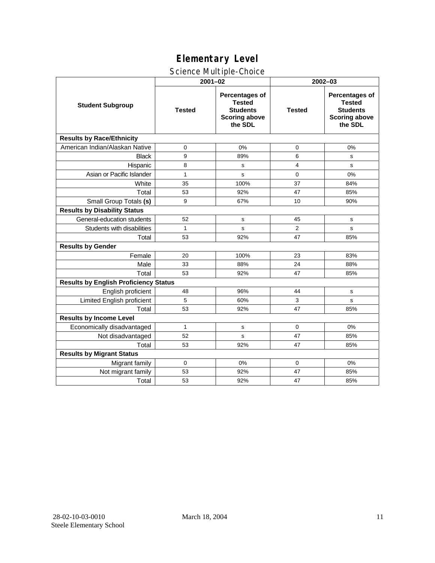### Science Multiple-Choice

|                                              | $2001 - 02$   |                                                                                       | 2002-03        |                                                                                       |  |  |
|----------------------------------------------|---------------|---------------------------------------------------------------------------------------|----------------|---------------------------------------------------------------------------------------|--|--|
| <b>Student Subgroup</b>                      | <b>Tested</b> | Percentages of<br><b>Tested</b><br><b>Students</b><br><b>Scoring above</b><br>the SDL | <b>Tested</b>  | Percentages of<br><b>Tested</b><br><b>Students</b><br><b>Scoring above</b><br>the SDL |  |  |
| <b>Results by Race/Ethnicity</b>             |               |                                                                                       |                |                                                                                       |  |  |
| American Indian/Alaskan Native               | $\Omega$      | 0%                                                                                    | 0              | 0%                                                                                    |  |  |
| <b>Black</b>                                 | 9             | 89%                                                                                   | 6              | s                                                                                     |  |  |
| Hispanic                                     | 8             | s                                                                                     | 4              | s                                                                                     |  |  |
| Asian or Pacific Islander                    | $\mathbf{1}$  | s                                                                                     | $\Omega$       | 0%                                                                                    |  |  |
| White                                        | 35            | 100%                                                                                  | 37             | 84%                                                                                   |  |  |
| Total                                        | 53            | 92%                                                                                   | 47             | 85%                                                                                   |  |  |
| Small Group Totals (s)                       | 9             | 67%                                                                                   | 10             | 90%                                                                                   |  |  |
| <b>Results by Disability Status</b>          |               |                                                                                       |                |                                                                                       |  |  |
| General-education students                   | 52            | s                                                                                     | 45             | s                                                                                     |  |  |
| Students with disabilities                   | $\mathbf{1}$  | s                                                                                     | $\overline{2}$ | s                                                                                     |  |  |
| Total                                        | 53            | 92%                                                                                   | 47             | 85%                                                                                   |  |  |
| <b>Results by Gender</b>                     |               |                                                                                       |                |                                                                                       |  |  |
| Female                                       | 20            | 100%                                                                                  | 23             | 83%                                                                                   |  |  |
| Male                                         | 33            | 88%                                                                                   | 24             | 88%                                                                                   |  |  |
| Total                                        | 53            | 92%                                                                                   | 47             | 85%                                                                                   |  |  |
| <b>Results by English Proficiency Status</b> |               |                                                                                       |                |                                                                                       |  |  |
| English proficient                           | 48            | 96%                                                                                   | 44             | s                                                                                     |  |  |
| Limited English proficient                   | 5             | 60%                                                                                   | 3              | s                                                                                     |  |  |
| Total                                        | 53            | 92%                                                                                   | 47             | 85%                                                                                   |  |  |
| <b>Results by Income Level</b>               |               |                                                                                       |                |                                                                                       |  |  |
| Economically disadvantaged                   | $\mathbf{1}$  | s                                                                                     | 0              | 0%                                                                                    |  |  |
| Not disadvantaged                            | 52            | s                                                                                     | 47             | 85%                                                                                   |  |  |
| Total                                        | 53            | 92%                                                                                   | 47             | 85%                                                                                   |  |  |
| <b>Results by Migrant Status</b>             |               |                                                                                       |                |                                                                                       |  |  |
| Migrant family                               | $\mathbf 0$   | 0%                                                                                    | 0              | 0%                                                                                    |  |  |
| Not migrant family                           | 53            | 92%                                                                                   | 47             | 85%                                                                                   |  |  |
| Total                                        | 53            | 92%                                                                                   | 47             | 85%                                                                                   |  |  |